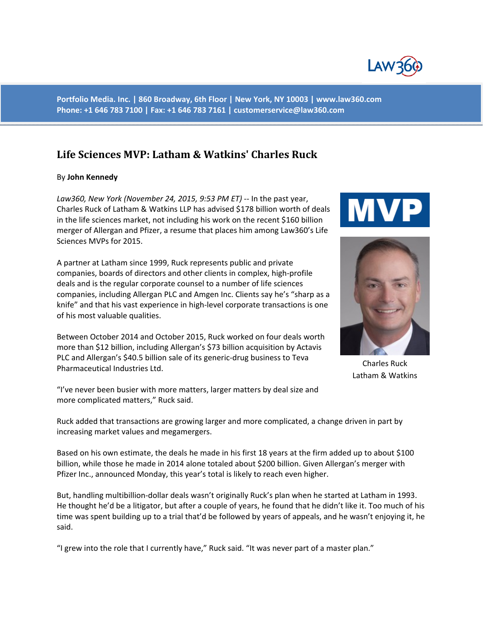

**Portfolio Media. Inc. | 860 Broadway, 6th Floor | New York, NY 10003 | www.law360.com Phone: +1 646 783 7100 | Fax: +1 646 783 7161 | customerservice@law360.com**

## **Life Sciences MVP: Latham & Watkins' Charles Ruck**

## By **John Kennedy**

*Law360, New York (November 24, 2015, 9:53 PM ET)* -- In the past year, Charles Ruck of Latham & Watkins LLP has advised \$178 billion worth of deals in the life sciences market, not including his work on the recent \$160 billion merger of Allergan and Pfizer, a resume that places him among Law360's Life Sciences MVPs for 2015.

A partner at Latham since 1999, Ruck represents public and private companies, boards of directors and other clients in complex, high-profile deals and is the regular corporate counsel to a number of life sciences companies, including Allergan PLC and Amgen Inc. Clients say he's "sharp as a knife" and that his vast experience in high-level corporate transactions is one of his most valuable qualities.

Between October 2014 and October 2015, Ruck worked on four deals worth more than \$12 billion, including Allergan's \$73 billion acquisition by Actavis PLC and Allergan's \$40.5 billion sale of its generic-drug business to Teva Pharmaceutical Industries Ltd.

"I've never been busier with more matters, larger matters by deal size and more complicated matters," Ruck said.

Ruck added that transactions are growing larger and more complicated, a change driven in part by increasing market values and megamergers.

Based on his own estimate, the deals he made in his first 18 years at the firm added up to about \$100 billion, while those he made in 2014 alone totaled about \$200 billion. Given Allergan's merger with Pfizer Inc., announced Monday, this year's total is likely to reach even higher.

But, handling multibillion-dollar deals wasn't originally Ruck's plan when he started at Latham in 1993. He thought he'd be a litigator, but after a couple of years, he found that he didn't like it. Too much of his time was spent building up to a trial that'd be followed by years of appeals, and he wasn't enjoying it, he said.

"I grew into the role that I currently have," Ruck said. "It was never part of a master plan."





Charles Ruck Latham & Watkins